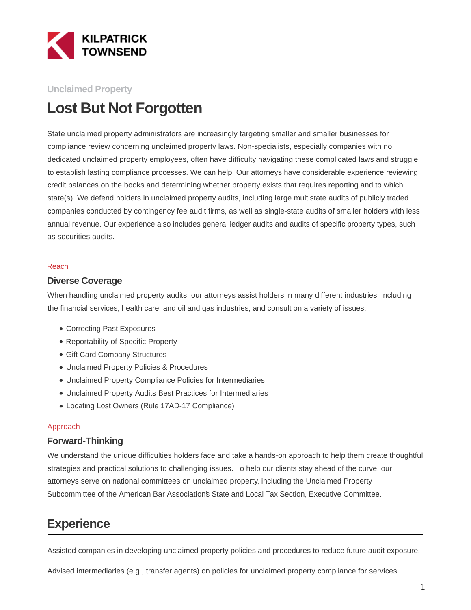

#### **Unclaimed Property**

# **Lost But Not Forgotten**

State unclaimed property administrators are increasingly targeting smaller and smaller businesses for compliance review concerning unclaimed property laws. Non-specialists, especially companies with no dedicated unclaimed property employees, often have difficulty navigating these complicated laws and struggle to establish lasting compliance processes. We can help. Our attorneys have considerable experience reviewing credit balances on the books and determining whether property exists that requires reporting and to which state(s). We defend holders in unclaimed property audits, including large multistate audits of publicly traded companies conducted by contingency fee audit firms, as well as single-state audits of smaller holders with less annual revenue. Our experience also includes general ledger audits and audits of specific property types, such as securities audits.

#### Reach

#### **Diverse Coverage**

When handling unclaimed property audits, our attorneys assist holders in many different industries, including the financial services, health care, and oil and gas industries, and consult on a variety of issues:

- Correcting Past Exposures
- Reportability of Specific Property
- Gift Card Company Structures
- Unclaimed Property Policies & Procedures
- Unclaimed Property Compliance Policies for Intermediaries
- Unclaimed Property Audits Best Practices for Intermediaries
- Locating Lost Owners (Rule 17AD-17 Compliance)

#### Approach

#### **Forward-Thinking**

We understand the unique difficulties holders face and take a hands-on approach to help them create thoughtful strategies and practical solutions to challenging issues. To help our clients stay ahead of the curve, our attorneys serve on national committees on unclaimed property, including the Unclaimed Property Subcommittee of the American Bar Association's State and Local Tax Section, Executive Committee.

## **Experience**

Assisted companies in developing unclaimed property policies and procedures to reduce future audit exposure.

Advised intermediaries (e.g., transfer agents) on policies for unclaimed property compliance for services